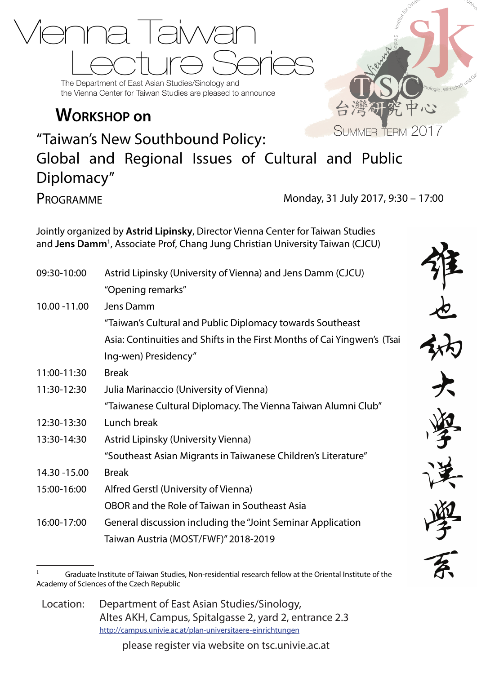

the Vienna Center for Taiwan Studies are pleased to announce

## **Workshop on**



"Taiwan's New Southbound Policy: Global and Regional Issues of Cultural and Public Diplomacy" Programme Monday, 31 July 2017, 9:30 – 17:00

Jointly organized by **Astrid Lipinsky**, Director Vienna Center for Taiwan Studies and **Jens Damm1** , Associate Prof, Chang Jung Christian University Taiwan (CJCU)

| 09:30-10:00   | Astrid Lipinsky (University of Vienna) and Jens Damm (CJCU)              |
|---------------|--------------------------------------------------------------------------|
|               | "Opening remarks"                                                        |
| 10.00 - 11.00 | Jens Damm                                                                |
|               | "Taiwan's Cultural and Public Diplomacy towards Southeast                |
|               | Asia: Continuities and Shifts in the First Months of Cai Yingwen's (Tsai |
|               | Ing-wen) Presidency"                                                     |
| 11:00-11:30   | <b>Break</b>                                                             |
| 11:30-12:30   | Julia Marinaccio (University of Vienna)                                  |
|               | "Taiwanese Cultural Diplomacy. The Vienna Taiwan Alumni Club"            |
| 12:30-13:30   | Lunch break                                                              |
| 13:30-14:30   | Astrid Lipinsky (University Vienna)                                      |
|               | "Southeast Asian Migrants in Taiwanese Children's Literature"            |
| 14.30 - 15.00 | <b>Break</b>                                                             |
| 15:00-16:00   | Alfred Gerstl (University of Vienna)                                     |
|               | OBOR and the Role of Taiwan in Southeast Asia                            |
| 16:00-17:00   | General discussion including the "Joint Seminar Application              |
|               | Taiwan Austria (MOST/FWF)" 2018-2019                                     |

Location: Department of East Asian Studies/Sinology, Altes AKH, Campus, Spitalgasse 2, yard 2, entrance 2.3 http://campus.univie.ac.at/plan-universitaere-einrichtungen

please register via website on tsc.univie.ac.at

Graduate Institute of Taiwan Studies, Non-residential research fellow at the Oriental Institute of the Academy of Sciences of the Czech Republic